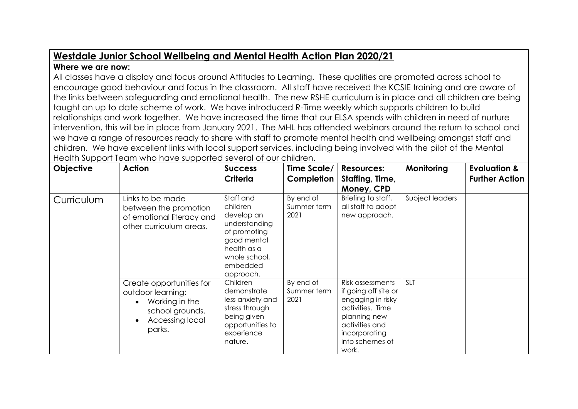## **Westdale Junior School Wellbeing and Mental Health Action Plan 2020/21**

## **Where we are now:**

All classes have a display and focus around Attitudes to Learning. These qualities are promoted across school to encourage good behaviour and focus in the classroom. All staff have received the KCSIE training and are aware of the links between safeguarding and emotional health. The new RSHE curriculum is in place and all children are being taught an up to date scheme of work. We have introduced R-Time weekly which supports children to build relationships and work together. We have increased the time that our ELSA spends with children in need of nurture intervention, this will be in place from January 2021. The MHL has attended webinars around the return to school and we have a range of resources ready to share with staff to promote mental health and wellbeing amongst staff and children. We have excellent links with local support services, including being involved with the pilot of the Mental Health Support Team who have supported several of our children.

| Objective  | <b>Action</b>                                                                                                                | <b>Success</b><br>Criteria                                                                                                                   | Time Scale/<br>Completion        | <b>Resources:</b><br>Staffing, Time,<br>Money, CPD                                                                                                               | Monitoring      | <b>Evaluation &amp;</b><br><b>Further Action</b> |
|------------|------------------------------------------------------------------------------------------------------------------------------|----------------------------------------------------------------------------------------------------------------------------------------------|----------------------------------|------------------------------------------------------------------------------------------------------------------------------------------------------------------|-----------------|--------------------------------------------------|
| Curriculum | Links to be made<br>between the promotion<br>of emotional literacy and<br>other curriculum areas.                            | Staff and<br>children<br>develop an<br>understanding<br>of promoting<br>good mental<br>health as a<br>whole school,<br>embedded<br>approach. | By end of<br>Summer term<br>2021 | Briefing to staff,<br>all staff to adopt<br>new approach.                                                                                                        | Subject leaders |                                                  |
|            | Create opportunities for<br>outdoor learning:<br>Working in the<br>school grounds.<br>Accessing local<br>$\bullet$<br>parks. | Children<br>demonstrate<br>less anxiety and<br>stress through<br>being given<br>opportunities to<br>experience<br>nature.                    | By end of<br>Summer term<br>2021 | Risk assessments<br>if going off site or<br>engaging in risky<br>activities. Time<br>planning new<br>activities and<br>incorporating<br>into schemes of<br>work. | <b>SLT</b>      |                                                  |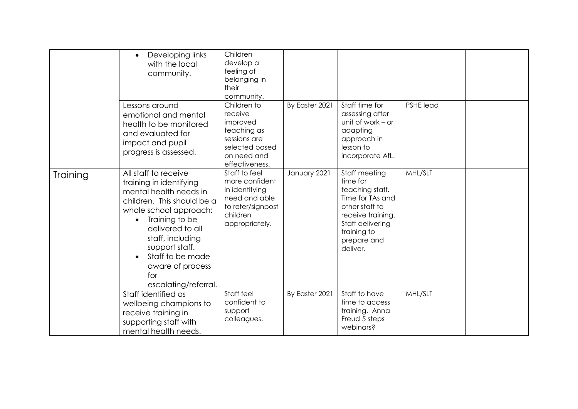|          | Developing links<br>$\bullet$<br>with the local<br>community.                                                                                                                                                                                                                                     | Children<br>develop a<br>feeling of<br>belonging in<br>their<br>community.                                            |                |                                                                                                                                                                       |           |  |
|----------|---------------------------------------------------------------------------------------------------------------------------------------------------------------------------------------------------------------------------------------------------------------------------------------------------|-----------------------------------------------------------------------------------------------------------------------|----------------|-----------------------------------------------------------------------------------------------------------------------------------------------------------------------|-----------|--|
|          | Lessons around<br>emotional and mental<br>health to be monitored<br>and evaluated for<br>impact and pupil<br>progress is assessed.                                                                                                                                                                | Children to<br>receive<br>improved<br>teaching as<br>sessions are<br>selected based<br>on need and<br>effectiveness.  | By Easter 2021 | Staff time for<br>assessing after<br>unit of work $-$ or<br>adapting<br>approach in<br>lesson to<br>incorporate AfL.                                                  | PSHE lead |  |
| Training | All staff to receive<br>training in identifying<br>mental health needs in<br>children. This should be a<br>whole school approach:<br>Training to be<br>delivered to all<br>staff, including<br>support staff.<br>Staff to be made<br>$\bullet$<br>aware of process<br>for<br>escalating/referral. | Staff to feel<br>more confident<br>in identifying<br>need and able<br>to refer/signpost<br>children<br>appropriately. | January 2021   | Staff meeting<br>time for<br>teaching staff.<br>Time for TAs and<br>other staff to<br>receive training.<br>Staff delivering<br>training to<br>prepare and<br>deliver. | MHL/SLT   |  |
|          | Staff identified as<br>wellbeing champions to<br>receive training in<br>supporting staff with<br>mental health needs.                                                                                                                                                                             | Staff feel<br>confident to<br>support<br>colleagues.                                                                  | By Easter 2021 | Staff to have<br>time to access<br>training. Anna<br>Freud 5 steps<br>webinars?                                                                                       | MHL/SLT   |  |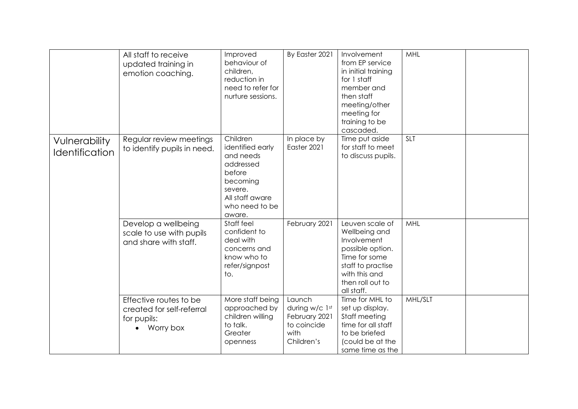|                                        | All staff to receive<br>updated training in<br>emotion coaching.                | Improved<br>behaviour of<br>children,<br>reduction in<br>need to refer for<br>nurture sessions.                                        | By Easter 2021                                                                 | Involvement<br>from EP service<br>in initial training<br>for 1 staff<br>member and<br>then staff<br>meeting/other<br>meeting for<br>training to be<br>cascaded. | MHL        |  |
|----------------------------------------|---------------------------------------------------------------------------------|----------------------------------------------------------------------------------------------------------------------------------------|--------------------------------------------------------------------------------|-----------------------------------------------------------------------------------------------------------------------------------------------------------------|------------|--|
| Vulnerability<br><b>Identification</b> | Regular review meetings<br>to identify pupils in need.                          | Children<br>identified early<br>and needs<br>addressed<br>before<br>becoming<br>severe.<br>All staff aware<br>who need to be<br>aware. | In place by<br>Easter 2021                                                     | Time put aside<br>for staff to meet<br>to discuss pupils.                                                                                                       | <b>SLT</b> |  |
|                                        | Develop a wellbeing<br>scale to use with pupils<br>and share with staff.        | Staff feel<br>confident to<br>deal with<br>concerns and<br>know who to<br>refer/signpost<br>to.                                        | February 2021                                                                  | Leuven scale of<br>Wellbeing and<br>Involvement<br>possible option.<br>Time for some<br>staff to practise<br>with this and<br>then roll out to<br>all staff.    | MHL        |  |
|                                        | Effective routes to be<br>created for self-referral<br>for pupils:<br>Worry box | More staff being<br>approached by<br>children willing<br>to talk.<br>Greater<br>openness                                               | Launch<br>during w/c 1st<br>February 2021<br>to coincide<br>with<br>Children's | Time for MHL to<br>set up display.<br>Staff meeting<br>time for all staff<br>to be briefed<br>(could be at the<br>same time as the                              | MHL/SLT    |  |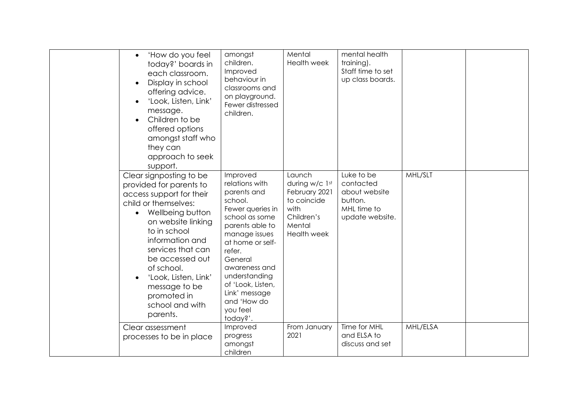| 'How do you feel<br>$\bullet$<br>today?' boards in<br>each classroom.<br>Display in school<br>$\bullet$<br>offering advice.<br>'Look, Listen, Link'<br>message.<br>Children to be<br>$\bullet$<br>offered options<br>amongst staff who<br>they can<br>approach to seek<br>support.                                                            | amongst<br>children.<br>Improved<br>behaviour in<br>classrooms and<br>on playground.<br>Fewer distressed<br>children.                                                                                                                                                                  | Mental<br>Health week                                                                                          | mental health<br>training).<br>Staff time to set<br>up class boards.                  |          |  |
|-----------------------------------------------------------------------------------------------------------------------------------------------------------------------------------------------------------------------------------------------------------------------------------------------------------------------------------------------|----------------------------------------------------------------------------------------------------------------------------------------------------------------------------------------------------------------------------------------------------------------------------------------|----------------------------------------------------------------------------------------------------------------|---------------------------------------------------------------------------------------|----------|--|
| Clear signposting to be<br>provided for parents to<br>access support for their<br>child or themselves:<br>Wellbeing button<br>on website linking<br>to in school<br>information and<br>services that can<br>be accessed out<br>of school.<br>'Look, Listen, Link'<br>$\bullet$<br>message to be<br>promoted in<br>school and with<br>parents. | Improved<br>relations with<br>parents and<br>school.<br>Fewer queries in<br>school as some<br>parents able to<br>manage issues<br>at home or self-<br>refer.<br>General<br>awareness and<br>understanding<br>of 'Look, Listen,<br>Link' message<br>and 'How do<br>you feel<br>today?'. | Launch<br>during w/c 1st<br>February 2021<br>to coincide<br>with<br>Children's<br>Mental<br><b>Health week</b> | Luke to be<br>contacted<br>about website<br>button.<br>MHL time to<br>update website. | MHL/SLT  |  |
| Clear assessment<br>processes to be in place                                                                                                                                                                                                                                                                                                  | Improved<br>progress<br>amongst<br>children                                                                                                                                                                                                                                            | From January<br>2021                                                                                           | Time for MHL<br>and ELSA to<br>discuss and set                                        | MHL/ELSA |  |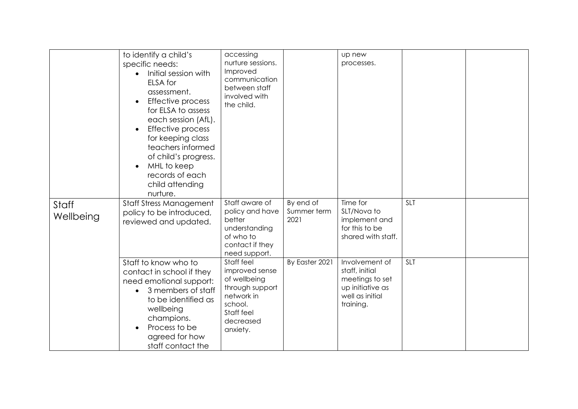|                    | to identify a child's<br>specific needs:<br>Initial session with<br>$\bullet$<br>ELSA for<br>assessment.<br>Effective process<br>$\bullet$<br>for ELSA to assess<br>each session (AfL).<br>Effective process<br>$\bullet$<br>for keeping class<br>teachers informed<br>of child's progress.<br>MHL to keep<br>$\bullet$<br>records of each<br>child attending<br>nurture. | accessing<br>nurture sessions.<br>Improved<br>communication<br>between staff<br>involved with<br>the child.                     |                                  | up new<br>processes.                                                                                    |            |  |
|--------------------|---------------------------------------------------------------------------------------------------------------------------------------------------------------------------------------------------------------------------------------------------------------------------------------------------------------------------------------------------------------------------|---------------------------------------------------------------------------------------------------------------------------------|----------------------------------|---------------------------------------------------------------------------------------------------------|------------|--|
| Staff<br>Wellbeing | <b>Staff Stress Management</b><br>policy to be introduced,<br>reviewed and updated.                                                                                                                                                                                                                                                                                       | Staff aware of<br>policy and have<br>better<br>understanding<br>of who to<br>contact if they<br>need support.                   | By end of<br>Summer term<br>2021 | Time for<br>SLT/Nova to<br>implement and<br>for this to be<br>shared with staff.                        | <b>SLT</b> |  |
|                    | Staff to know who to<br>contact in school if they<br>need emotional support:<br>3 members of staff<br>to be identified as<br>wellbeing<br>champions.<br>Process to be<br>agreed for how<br>staff contact the                                                                                                                                                              | Staff feel<br>improved sense<br>of wellbeing<br>through support<br>network in<br>school.<br>Staff feel<br>decreased<br>anxiety. | By Easter 2021                   | Involvement of<br>staff, initial<br>meetings to set<br>up initiative as<br>well as initial<br>training. | <b>SLT</b> |  |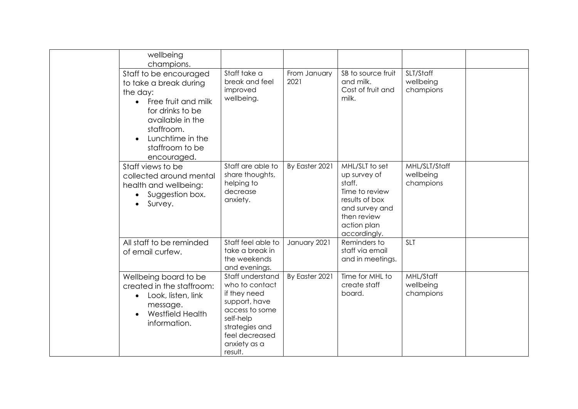|  | wellbeing<br>champions.                                                                                                                                                                         |                                                                                                                                                                   |                      |                                                                                                                                              |                                         |  |
|--|-------------------------------------------------------------------------------------------------------------------------------------------------------------------------------------------------|-------------------------------------------------------------------------------------------------------------------------------------------------------------------|----------------------|----------------------------------------------------------------------------------------------------------------------------------------------|-----------------------------------------|--|
|  | Staff to be encouraged<br>to take a break during<br>the day:<br>Free fruit and milk<br>for drinks to be<br>available in the<br>staffroom.<br>Lunchtime in the<br>staffroom to be<br>encouraged. | Staff take a<br>break and feel<br>improved<br>wellbeing.                                                                                                          | From January<br>2021 | SB to source fruit<br>and milk.<br>Cost of fruit and<br>milk.                                                                                | SLT/Staff<br>wellbeing<br>champions     |  |
|  | Staff views to be<br>collected around mental<br>health and wellbeing:<br>Suggestion box.<br>$\bullet$<br>Survey.                                                                                | Staff are able to<br>share thoughts,<br>helping to<br>decrease<br>anxiety.                                                                                        | By Easter 2021       | MHL/SLT to set<br>up survey of<br>staff.<br>Time to review<br>results of box<br>and survey and<br>then review<br>action plan<br>accordingly. | MHL/SLT/Staff<br>wellbeing<br>champions |  |
|  | All staff to be reminded<br>of email curfew.                                                                                                                                                    | Staff feel able to<br>take a break in<br>the weekends<br>and evenings.                                                                                            | January 2021         | Reminders to<br>staff via email<br>and in meetings.                                                                                          | <b>SLT</b>                              |  |
|  | Wellbeing board to be<br>created in the staffroom:<br>Look, listen, link<br>$\bullet$<br>message.<br>Westfield Health<br>information.                                                           | Staff understand<br>who to contact<br>if they need<br>support, have<br>access to some<br>self-help<br>strategies and<br>feel decreased<br>anxiety as a<br>result. | By Easter 2021       | Time for MHL to<br>create staff<br>board.                                                                                                    | MHL/Staff<br>wellbeing<br>champions     |  |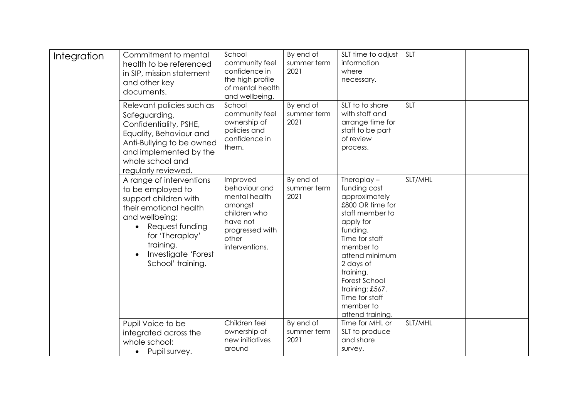| Integration | Commitment to mental<br>health to be referenced<br>in SIP, mission statement<br>and other key<br>documents.                                                                                                                    | School<br>community feel<br>confidence in<br>the high profile<br>of mental health<br>and wellbeing.                             | By end of<br>summer term<br>2021 | SLT time to adjust<br>information<br>where<br>necessary.                                                                                                                                                                                                                         | <b>SLT</b> |  |
|-------------|--------------------------------------------------------------------------------------------------------------------------------------------------------------------------------------------------------------------------------|---------------------------------------------------------------------------------------------------------------------------------|----------------------------------|----------------------------------------------------------------------------------------------------------------------------------------------------------------------------------------------------------------------------------------------------------------------------------|------------|--|
|             | Relevant policies such as<br>Safeguarding,<br>Confidentiality, PSHE,<br>Equality, Behaviour and<br>Anti-Bullying to be owned<br>and implemented by the<br>whole school and<br>regularly reviewed.                              | School<br>community feel<br>ownership of<br>policies and<br>confidence in<br>them.                                              | By end of<br>summer term<br>2021 | SLT to to share<br>with staff and<br>arrange time for<br>staff to be part<br>of review<br>process.                                                                                                                                                                               | <b>SLT</b> |  |
|             | A range of interventions<br>to be employed to<br>support children with<br>their emotional health<br>and wellbeing:<br>Request funding<br>$\bullet$<br>for 'Theraplay'<br>training.<br>Investigate 'Forest<br>School' training. | Improved<br>behaviour and<br>mental health<br>amongst<br>children who<br>have not<br>progressed with<br>other<br>interventions. | By end of<br>summer term<br>2021 | Theraplay $-$<br>funding cost<br>approximately<br>£800 OR time for<br>staff member to<br>apply for<br>funding.<br>Time for staff<br>member to<br>attend minimum<br>2 days of<br>training.<br>Forest School<br>training: £567.<br>Time for staff<br>member to<br>attend training. | SLT/MHL    |  |
|             | Pupil Voice to be<br>integrated across the<br>whole school:<br>Pupil survey.<br>$\bullet$                                                                                                                                      | Children feel<br>ownership of<br>new initiatives<br>around                                                                      | By end of<br>summer term<br>2021 | Time for MHL or<br>SLT to produce<br>and share<br>survey.                                                                                                                                                                                                                        | SLT/MHL    |  |